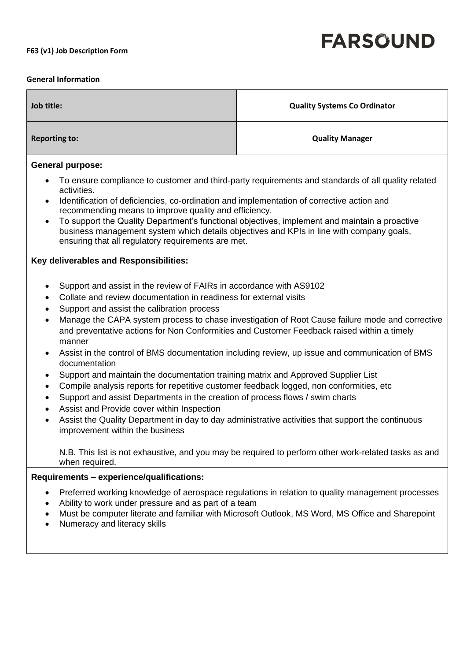## **FARSOUND**

## **F63 (v1) Job Description Form**

## **General Information**

| Job title:                                                                                                                                                                                                                                                                                                                                                                                                                                                                                                                                                                                                                                                                                                                                                                                                                                                                                                                                                                                                                                                                                                    | <b>Quality Systems Co Ordinator</b>                                                                                                                                                                  |
|---------------------------------------------------------------------------------------------------------------------------------------------------------------------------------------------------------------------------------------------------------------------------------------------------------------------------------------------------------------------------------------------------------------------------------------------------------------------------------------------------------------------------------------------------------------------------------------------------------------------------------------------------------------------------------------------------------------------------------------------------------------------------------------------------------------------------------------------------------------------------------------------------------------------------------------------------------------------------------------------------------------------------------------------------------------------------------------------------------------|------------------------------------------------------------------------------------------------------------------------------------------------------------------------------------------------------|
| <b>Reporting to:</b>                                                                                                                                                                                                                                                                                                                                                                                                                                                                                                                                                                                                                                                                                                                                                                                                                                                                                                                                                                                                                                                                                          | <b>Quality Manager</b>                                                                                                                                                                               |
| <b>General purpose:</b><br>To ensure compliance to customer and third-party requirements and standards of all quality related<br>$\bullet$<br>activities.                                                                                                                                                                                                                                                                                                                                                                                                                                                                                                                                                                                                                                                                                                                                                                                                                                                                                                                                                     |                                                                                                                                                                                                      |
| Identification of deficiencies, co-ordination and implementation of corrective action and<br>$\bullet$<br>recommending means to improve quality and efficiency.<br>To support the Quality Department's functional objectives, implement and maintain a proactive<br>business management system which details objectives and KPIs in line with company goals,<br>ensuring that all regulatory requirements are met.                                                                                                                                                                                                                                                                                                                                                                                                                                                                                                                                                                                                                                                                                            |                                                                                                                                                                                                      |
| Key deliverables and Responsibilities:                                                                                                                                                                                                                                                                                                                                                                                                                                                                                                                                                                                                                                                                                                                                                                                                                                                                                                                                                                                                                                                                        |                                                                                                                                                                                                      |
| Support and assist in the review of FAIRs in accordance with AS9102<br>$\bullet$<br>Collate and review documentation in readiness for external visits<br>$\bullet$<br>Support and assist the calibration process<br>$\bullet$<br>Manage the CAPA system process to chase investigation of Root Cause failure mode and corrective<br>$\bullet$<br>and preventative actions for Non Conformities and Customer Feedback raised within a timely<br>manner<br>Assist in the control of BMS documentation including review, up issue and communication of BMS<br>$\bullet$<br>documentation<br>Support and maintain the documentation training matrix and Approved Supplier List<br>$\bullet$<br>Compile analysis reports for repetitive customer feedback logged, non conformities, etc<br>$\bullet$<br>Support and assist Departments in the creation of process flows / swim charts<br>$\bullet$<br>Assist and Provide cover within Inspection<br>$\bullet$<br>Assist the Quality Department in day to day administrative activities that support the continuous<br>$\bullet$<br>improvement within the business |                                                                                                                                                                                                      |
| when required.                                                                                                                                                                                                                                                                                                                                                                                                                                                                                                                                                                                                                                                                                                                                                                                                                                                                                                                                                                                                                                                                                                | N.B. This list is not exhaustive, and you may be required to perform other work-related tasks as and                                                                                                 |
| Requirements - experience/qualifications:                                                                                                                                                                                                                                                                                                                                                                                                                                                                                                                                                                                                                                                                                                                                                                                                                                                                                                                                                                                                                                                                     |                                                                                                                                                                                                      |
| $\bullet$<br>Ability to work under pressure and as part of a team<br>Numeracy and literacy skills                                                                                                                                                                                                                                                                                                                                                                                                                                                                                                                                                                                                                                                                                                                                                                                                                                                                                                                                                                                                             | Preferred working knowledge of aerospace regulations in relation to quality management processes<br>Must be computer literate and familiar with Microsoft Outlook, MS Word, MS Office and Sharepoint |